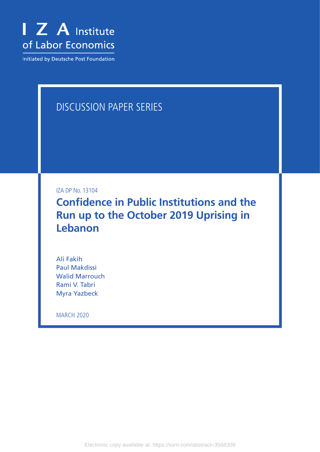

Initiated by Deutsche Post Foundation

# DISCUSSION PAPER SERIES

IZA DP No. 13104

**Confidence in Public Institutions and the Run up to the October 2019 Uprising in Lebanon**

Ali Fakih Paul Makdissi Walid Marrouch Rami V. Tabri Myra Yazbeck

MARCH 2020

Electronic copy available at: https://ssrn.com/abstract=3568309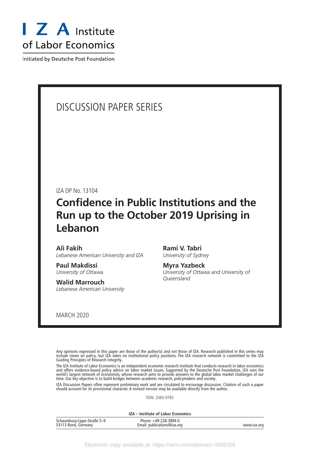

Initiated by Deutsche Post Foundation

## DISCUSSION PAPER SERIES

IZA DP No. 13104

# **Confidence in Public Institutions and the Run up to the October 2019 Uprising in Lebanon**

### **Ali Fakih**

*Lebanese American University and IZA*

**Paul Makdissi** *University of Ottawa*

**Walid Marrouch** *Lebanese American University*

**Rami V. Tabri** *University of Sydney*

**Myra Yazbeck** *University of Ottawa and University of Queensland*

MARCH 2020

Any opinions expressed in this paper are those of the author(s) and not those of IZA. Research published in this series may include views on policy, but IZA takes no institutional policy positions. The IZA research network is committed to the IZA Guiding Principles of Research Integrity.

The IZA Institute of Labor Economics is an independent economic research institute that conducts research in labor economics and offers evidence-based policy advice on labor market issues. Supported by the Deutsche Post Foundation, IZA runs the world's largest network of economists, whose research aims to provide answers to the global labor market challenges of our time. Our key objective is to build bridges between academic research, policymakers and society.

IZA Discussion Papers often represent preliminary work and are circulated to encourage discussion. Citation of such a paper should account for its provisional character. A revised version may be available directly from the author.

ISSN: 2365-9793

**IZA – Institute of Labor Economics**

| Schaumburg-Lippe-Straße 5-9 | Phone: +49-228-3894-0       |             |
|-----------------------------|-----------------------------|-------------|
| 53113 Bonn, Germany         | Email: publications@iza.org | www.iza.org |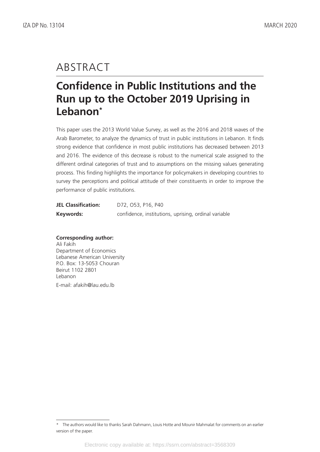# ABSTRACT

# **Confidence in Public Institutions and the Run up to the October 2019 Uprising in Lebanon\***

This paper uses the 2013 World Value Survey, as well as the 2016 and 2018 waves of the Arab Barometer, to analyze the dynamics of trust in public institutions in Lebanon. It finds strong evidence that confidence in most public institutions has decreased between 2013 and 2016. The evidence of this decrease is robust to the numerical scale assigned to the different ordinal categories of trust and to assumptions on the missing values generating process. This finding highlights the importance for policymakers in developing countries to survey the perceptions and political attitude of their constituents in order to improve the performance of public institutions.

| <b>JEL Classification:</b> | D72, O53, P16, P40                                   |  |  |  |
|----------------------------|------------------------------------------------------|--|--|--|
| Keywords:                  | confidence, institutions, uprising, ordinal variable |  |  |  |

## **Corresponding author:**

Ali Fakih Department of Economics Lebanese American University P.O. Box: 13-5053 Chouran Beirut 1102 2801 Lebanon E-mail: afakih@lau.edu.lb

<sup>\*</sup> The authors would like to thanks Sarah Dahmann, Louis Hotte and Mounir Mahmalat for comments on an earlier version of the paper.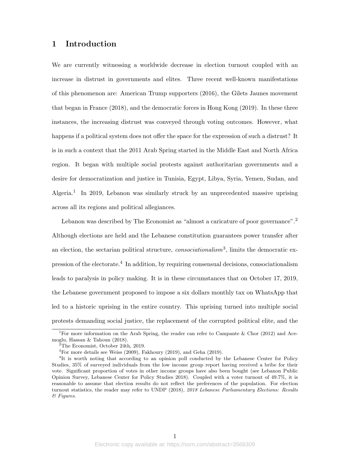## **1 Introduction**

We are currently witnessing a worldwide decrease in election turnout coupled with an increase in distrust in governments and elites. Three recent well-known manifestations of this phenomenon are: American Trump supporters (2016), the Gilets Jaunes movement that began in France (2018), and the democratic forces in Hong Kong (2019). In these three instances, the increasing distrust was conveyed through voting outcomes. However, what happens if a political system does not offer the space for the expression of such a distrust? It is in such a context that the 2011 Arab Spring started in the Middle East and North Africa region. It began with multiple social protests against authoritarian governments and a desire for democratization and justice in Tunisia, Egypt, Libya, Syria, Yemen, Sudan, and Algeria.<sup>1</sup> In 2019, Lebanon was similarly struck by an unprecedented massive uprising across all its regions and political allegiances.

Lebanon was described by The Economist as "almost a caricature of poor governance".<sup>2</sup> Although elections are held and the Lebanese constitution guarantees power transfer after an election, the sectarian political structure, *consociationalism*<sup>3</sup> , limits the democratic expression of the electorate.<sup>4</sup> In addition, by requiring consensual decisions, consociationalism leads to paralysis in policy making. It is in these circumstances that on October 17, 2019, the Lebanese government proposed to impose a six dollars monthly tax on WhatsApp that led to a historic uprising in the entire country. This uprising turned into multiple social protests demanding social justice, the replacement of the corrupted political elite, and the

<sup>&</sup>lt;sup>1</sup>For more information on the Arab Spring, the reader can refer to Campante & Chor (2012) and Acemoglu, Hassan & Tahoun (2018).

 $2^2$ The Economist, October 24th, 2019.

 ${}^{3}$ For more details see Weiss (2009), Fakhoury (2019), and Geha (2019).

<sup>&</sup>lt;sup>4</sup>It is worth noting that according to an opinion poll conducted by the Lebanese Center for Policy Studies, 35% of surveyed individuals from the low income group report having received a bribe for their vote. Significant proportion of votes in other income groups have also been bought (see Lebanon Public Opinion Survey, Lebanese Center for Policy Studies 2018). Coupled with a voter turnout of 49.7%, it is reasonable to assume that election results do not reflect the preferences of the population. For election turnout statistics, the reader may refer to UNDP (2018), *2018 Lebanese Parliamentary Elections: Results & Figures*.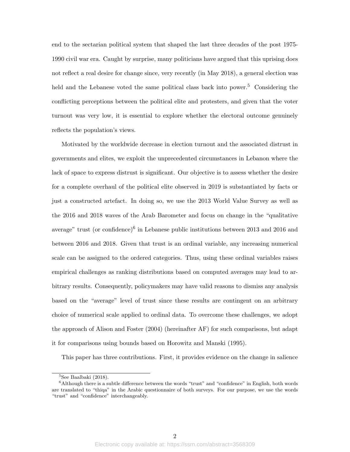end to the sectarian political system that shaped the last three decades of the post 1975- 1990 civil war era. Caught by surprise, many politicians have argued that this uprising does not reflect a real desire for change since, very recently (in May 2018), a general election was held and the Lebanese voted the same political class back into power.<sup>5</sup> Considering the conflicting perceptions between the political elite and protesters, and given that the voter turnout was very low, it is essential to explore whether the electoral outcome genuinely reflects the population's views.

Motivated by the worldwide decrease in election turnout and the associated distrust in governments and elites, we exploit the unprecedented circumstances in Lebanon where the lack of space to express distrust is significant. Our objective is to assess whether the desire for a complete overhaul of the political elite observed in 2019 is substantiated by facts or just a constructed artefact. In doing so, we use the 2013 World Value Survey as well as the 2016 and 2018 waves of the Arab Barometer and focus on change in the "qualitative average" trust (or confidence)<sup> $6$ </sup> in Lebanese public institutions between 2013 and 2016 and between 2016 and 2018. Given that trust is an ordinal variable, any increasing numerical scale can be assigned to the ordered categories. Thus, using these ordinal variables raises empirical challenges as ranking distributions based on computed averages may lead to arbitrary results. Consequently, policymakers may have valid reasons to dismiss any analysis based on the "average" level of trust since these results are contingent on an arbitrary choice of numerical scale applied to ordinal data. To overcome these challenges, we adopt the approach of Alison and Foster (2004) (hereinafter AF) for such comparisons, but adapt it for comparisons using bounds based on Horowitz and Manski (1995).

This paper has three contributions. First, it provides evidence on the change in salience

 ${}^{5}$ See Baalbaki (2018).

 $6$ Although there is a subtle difference between the words "trust" and "confidence" in English, both words are translated to "thiqa" in the Arabic questionnaire of both surveys. For our purpose, we use the words "trust" and "confidence" interchangeably.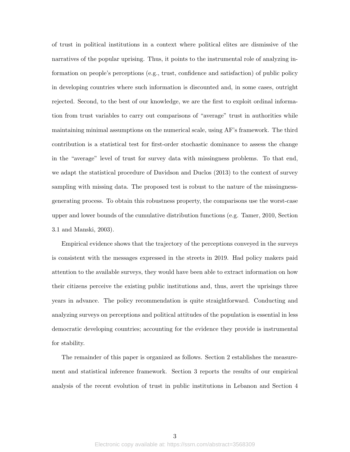of trust in political institutions in a context where political elites are dismissive of the narratives of the popular uprising. Thus, it points to the instrumental role of analyzing information on people's perceptions (e.g., trust, confidence and satisfaction) of public policy in developing countries where such information is discounted and, in some cases, outright rejected. Second, to the best of our knowledge, we are the first to exploit ordinal information from trust variables to carry out comparisons of "average" trust in authorities while maintaining minimal assumptions on the numerical scale, using AF's framework. The third contribution is a statistical test for first-order stochastic dominance to assess the change in the "average" level of trust for survey data with missingness problems. To that end, we adapt the statistical procedure of Davidson and Duclos (2013) to the context of survey sampling with missing data. The proposed test is robust to the nature of the missingnessgenerating process. To obtain this robustness property, the comparisons use the worst-case upper and lower bounds of the cumulative distribution functions (e.g. Tamer, 2010, Section 3.1 and Manski, 2003).

Empirical evidence shows that the trajectory of the perceptions conveyed in the surveys is consistent with the messages expressed in the streets in 2019. Had policy makers paid attention to the available surveys, they would have been able to extract information on how their citizens perceive the existing public institutions and, thus, avert the uprisings three years in advance. The policy recommendation is quite straightforward. Conducting and analyzing surveys on perceptions and political attitudes of the population is essential in less democratic developing countries; accounting for the evidence they provide is instrumental for stability.

The remainder of this paper is organized as follows. Section 2 establishes the measurement and statistical inference framework. Section 3 reports the results of our empirical analysis of the recent evolution of trust in public institutions in Lebanon and Section 4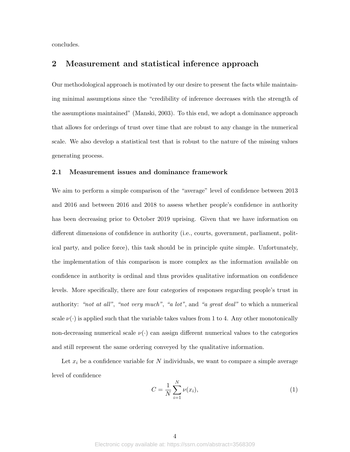concludes.

## **2 Measurement and statistical inference approach**

Our methodological approach is motivated by our desire to present the facts while maintaining minimal assumptions since the "credibility of inference decreases with the strength of the assumptions maintained" (Manski, 2003). To this end, we adopt a dominance approach that allows for orderings of trust over time that are robust to any change in the numerical scale. We also develop a statistical test that is robust to the nature of the missing values generating process.

### **2.1 Measurement issues and dominance framework**

We aim to perform a simple comparison of the "average" level of confidence between 2013 and 2016 and between 2016 and 2018 to assess whether people's confidence in authority has been decreasing prior to October 2019 uprising. Given that we have information on different dimensions of confidence in authority (i.e., courts, government, parliament, political party, and police force), this task should be in principle quite simple. Unfortunately, the implementation of this comparison is more complex as the information available on confidence in authority is ordinal and thus provides qualitative information on confidence levels. More specifically, there are four categories of responses regarding people's trust in authority: *"not at all"*, *"not very much"*, *"a lot"*, and *"a great deal"* to which a numerical scale  $\nu(\cdot)$  is applied such that the variable takes values from 1 to 4. Any other monotonically non-decreasing numerical scale  $\nu(\cdot)$  can assign different numerical values to the categories and still represent the same ordering conveyed by the qualitative information.

Let  $x_i$  be a confidence variable for  $N$  individuals, we want to compare a simple average level of confidence

$$
C = \frac{1}{N} \sum_{i=1}^{N} \nu(x_i),
$$
\n(1)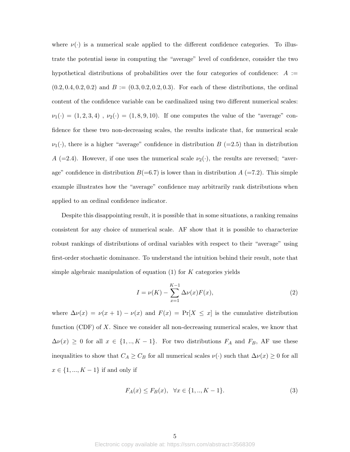where  $\nu(\cdot)$  is a numerical scale applied to the different confidence categories. To illustrate the potential issue in computing the "average" level of confidence, consider the two hypothetical distributions of probabilities over the four categories of confidence:  $A :=$  $(0.2, 0.4, 0.2, 0.2)$  and  $B := (0.3, 0.2, 0.2, 0.3)$ . For each of these distributions, the ordinal content of the confidence variable can be cardinalized using two different numerical scales:  $\nu_1(\cdot) = (1, 2, 3, 4)$ ,  $\nu_2(\cdot) = (1, 8, 9, 10)$ . If one computes the value of the "average" confidence for these two non-decreasing scales, the results indicate that, for numerical scale  $\nu_1(\cdot)$ , there is a higher "average" confidence in distribution *B* (=2.5) than in distribution *A* (=2.4). However, if one uses the numerical scale  $\nu_2(\cdot)$ , the results are reversed; "average" confidence in distribution  $B(=6.7)$  is lower than in distribution  $A$  (=7.2). This simple example illustrates how the "average" confidence may arbitrarily rank distributions when applied to an ordinal confidence indicator.

Despite this disappointing result, it is possible that in some situations, a ranking remains consistent for any choice of numerical scale. AF show that it is possible to characterize robust rankings of distributions of ordinal variables with respect to their "average" using first-order stochastic dominance. To understand the intuition behind their result, note that simple algebraic manipulation of equation (1) for *K* categories yields

$$
I = \nu(K) - \sum_{x=1}^{K-1} \Delta \nu(x) F(x),
$$
\n(2)

where  $\Delta \nu(x) = \nu(x+1) - \nu(x)$  and  $F(x) = \Pr[X \le x]$  is the cumulative distribution function (CDF) of *X*. Since we consider all non-decreasing numerical scales, we know that  $\Delta \nu(x) \geq 0$  for all  $x \in \{1, ..., K - 1\}$ . For two distributions  $F_A$  and  $F_B$ , AF use these inequalities to show that  $C_A \geq C_B$  for all numerical scales  $\nu(\cdot)$  such that  $\Delta \nu(x) \geq 0$  for all *x ∈ {*1*, ..., K −* 1*}* if and only if

$$
F_A(x) \le F_B(x), \quad \forall x \in \{1, ..., K - 1\}.
$$
 (3)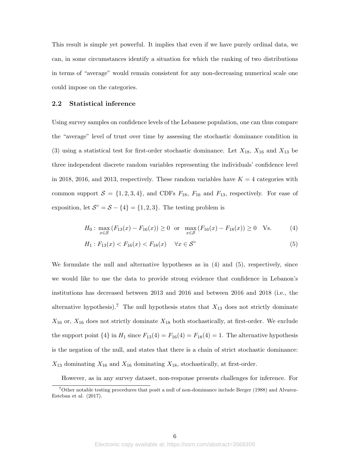This result is simple yet powerful. It implies that even if we have purely ordinal data, we can, in some circumstances identify a situation for which the ranking of two distributions in terms of "average" would remain consistent for any non-decreasing numerical scale one could impose on the categories.

#### **2.2 Statistical inference**

Using survey samples on confidence levels of the Lebanese population, one can thus compare the "average" level of trust over time by assessing the stochastic dominance condition in (3) using a statistical test for first-order stochastic dominance. Let *X*18, *X*<sup>16</sup> and *X*<sup>13</sup> be three independent discrete random variables representing the individuals' confidence level in 2018, 2016, and 2013, respectively. These random variables have  $K = 4$  categories with common support  $S = \{1, 2, 3, 4\}$ , and CDFs  $F_{18}$ ,  $F_{16}$  and  $F_{13}$ , respectively. For ease of exposition, let  $S^{\circ} = S - \{4\} = \{1, 2, 3\}$ . The testing problem is

$$
H_0: \max_{x \in \mathcal{S}} (F_{13}(x) - F_{16}(x)) \ge 0 \text{ or } \max_{x \in \mathcal{S}} (F_{16}(x) - F_{18}(x)) \ge 0 \quad \text{Vs.}
$$
 (4)

$$
H_1: F_{13}(x) < F_{16}(x) < F_{18}(x) \quad \forall x \in \mathcal{S}^\circ \tag{5}
$$

We formulate the null and alternative hypotheses as in (4) and (5), respectively, since we would like to use the data to provide strong evidence that confidence in Lebanon's institutions has decreased between 2013 and 2016 and between 2016 and 2018 (i.e., the alternative hypothesis).<sup>7</sup> The null hypothesis states that  $X_{13}$  does not strictly dominate  $X_{16}$  or,  $X_{16}$  does not strictly dominate  $X_{18}$  both stochastically, at first-order. We exclude the support point  $\{4\}$  in  $H_1$  since  $F_{13}(4) = F_{16}(4) = F_{18}(4) = 1$ . The alternative hypothesis is the negation of the null, and states that there is a chain of strict stochastic dominance:  $X_{13}$  dominating  $X_{16}$  and  $X_{16}$  dominating  $X_{18}$ , stochastically, at first-order.

However, as in any survey dataset, non-response presents challenges for inference. For

<sup>7</sup>Other notable testing procedures that posit a null of non-dominance include Berger (1988) and Alvarez-Esteban et al. (2017).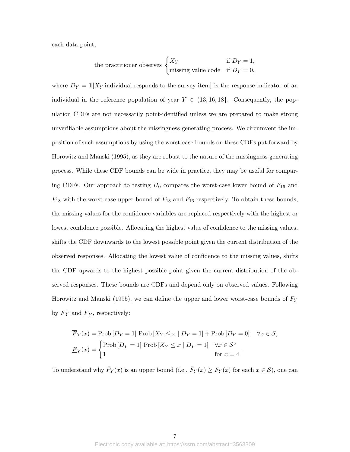each data point,

the practitioner observes 
$$
\begin{cases} X_Y & \text{if } D_Y = 1, \\ \text{missing value code} & \text{if } D_Y = 0, \end{cases}
$$

where  $D_Y = \mathbb{1}[X_Y]$  individual responds to the survey item is the response indicator of an individual in the reference population of year  $Y \in \{13, 16, 18\}$ . Consequently, the population CDFs are not necessarily point-identified unless we are prepared to make strong unverifiable assumptions about the missingness-generating process. We circumvent the imposition of such assumptions by using the worst-case bounds on these CDFs put forward by Horowitz and Manski (1995), as they are robust to the nature of the missingness-generating process. While these CDF bounds can be wide in practice, they may be useful for comparing CDFs. Our approach to testing  $H_0$  compares the worst-case lower bound of  $F_{16}$  and *F*<sup>18</sup> with the worst-case upper bound of *F*<sup>13</sup> and *F*<sup>16</sup> respectively. To obtain these bounds, the missing values for the confidence variables are replaced respectively with the highest or lowest confidence possible. Allocating the highest value of confidence to the missing values, shifts the CDF downwards to the lowest possible point given the current distribution of the observed responses. Allocating the lowest value of confidence to the missing values, shifts the CDF upwards to the highest possible point given the current distribution of the observed responses. These bounds are CDFs and depend only on observed values. Following Horowitz and Manski (1995), we can define the upper and lower worst-case bounds of *F<sup>Y</sup>* by  $F_Y$  and  $F_Y$ , respectively:

$$
\overline{F}_Y(x) = \text{Prob}\left[D_Y = 1\right] \text{Prob}\left[X_Y \le x \mid D_Y = 1\right] + \text{Prob}\left[D_Y = 0\right] \quad \forall x \in \mathcal{S},
$$
\n
$$
\underline{F}_Y(x) = \begin{cases} \text{Prob}\left[D_Y = 1\right] \text{Prob}\left[X_Y \le x \mid D_Y = 1\right] & \forall x \in \mathcal{S}^{\circ} \\ 1 & \text{for } x = 4 \end{cases}.
$$

To understand why  $\bar{F}_Y(x)$  is an upper bound (i.e.,  $\bar{F}_Y(x) \geq F_Y(x)$  for each  $x \in S$ ), one can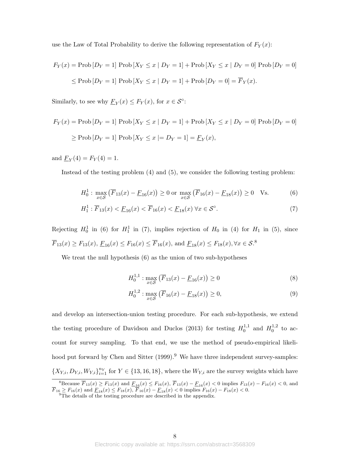use the Law of Total Probability to derive the following representation of  $F_Y(x)$ :

$$
F_Y(x) = \text{Prob}\left[D_Y = 1\right] \text{Prob}\left[X_Y \le x \mid D_Y = 1\right] + \text{Prob}\left[X_Y \le x \mid D_Y = 0\right] \text{Prob}\left[D_Y = 0\right]
$$
  

$$
\le \text{Prob}\left[D_Y = 1\right] \text{Prob}\left[X_Y \le x \mid D_Y = 1\right] + \text{Prob}\left[D_Y = 0\right] = \overline{F}_Y(x).
$$

Similarly, to see why  $\underline{F}_Y(x) \leq F_Y(x)$ , for  $x \in S^\circ$ :

$$
F_Y(x) = \text{Prob}\left[D_Y = 1\right] \text{Prob}\left[X_Y \le x \mid D_Y = 1\right] + \text{Prob}\left[X_Y \le x \mid D_Y = 0\right] \text{Prob}\left[D_Y = 0\right]
$$
  

$$
\ge \text{Prob}\left[D_Y = 1\right] \text{Prob}\left[X_Y \le x \mid D_Y = 1\right] = \underline{F}_Y(x),
$$

and  $\underline{F}_Y(4) = F_Y(4) = 1$ .

Instead of the testing problem (4) and (5), we consider the following testing problem:

$$
H_0^1: \max_{x \in \mathcal{S}} \left( \overline{F}_{13}(x) - \underline{F}_{16}(x) \right) \ge 0 \text{ or } \max_{x \in \mathcal{S}} \left( \overline{F}_{16}(x) - \underline{F}_{18}(x) \right) \ge 0 \quad \text{Vs.}
$$
 (6)

$$
H_1^1: \overline{F}_{13}(x) < \underline{F}_{16}(x) < \overline{F}_{16}(x) < \underline{F}_{18}(x) \,\forall x \in \mathcal{S}^\circ. \tag{7}
$$

Rejecting  $H_0^1$  in (6) for  $H_1^1$  in (7), implies rejection of  $H_0$  in (4) for  $H_1$  in (5), since  $\overline{F}_{13}(x) \ge F_{13}(x), E_{16}(x) \le F_{16}(x) \le \overline{F}_{16}(x)$ , and  $E_{18}(x) \le F_{18}(x), \forall x \in S$ .<sup>8</sup>

We treat the null hypothesis  $(6)$  as the union of two sub-hypotheses

$$
H_0^{1,1} : \max_{x \in \mathcal{S}} \left( \overline{F}_{13}(x) - \underline{F}_{16}(x) \right) \ge 0 \tag{8}
$$

$$
H_0^{1,2} : \max_{x \in \mathcal{S}} \left( \overline{F}_{16}(x) - \underline{F}_{18}(x) \right) \ge 0,
$$
\n(9)

and develop an intersection-union testing procedure. For each sub-hypothesis, we extend the testing procedure of Davidson and Duclos (2013) for testing  $H_0^{1,1}$  $h_0^{1,1}$  and  $H_0^{1,2}$  $_0^{1,2}$  to account for survey sampling. To that end, we use the method of pseudo-empirical likelihood put forward by Chen and Sitter  $(1999)$ .<sup>9</sup> We have three independent survey-samples:  $\{X_{Y,i}, D_{Y,i}, W_{Y,i}\}_{i=1}^{n_Y}$  for  $Y \in \{13, 16, 18\}$ , where the  $W_{Y,i}$  are the survey weights which have

<sup>&</sup>lt;sup>8</sup>Because  $\overline{F}_{13}(x) \ge F_{13}(x)$  and  $\underline{F}_{16}(x) \le F_{16}(x)$ ,  $\overline{F}_{13}(x) - \underline{F}_{16}(x) < 0$  implies  $F_{13}(x) - F_{16}(x) < 0$ , and  $F_{16} \geq F_{16}(x)$  and  $F_{18}(x) \leq F_{18}(x)$ ,  $F_{16}(x) - F_{18}(x) < 0$  implies  $F_{16}(x) - F_{18}(x) < 0$ .<br><sup>9</sup>The details of the testing procedure are described in the appendix.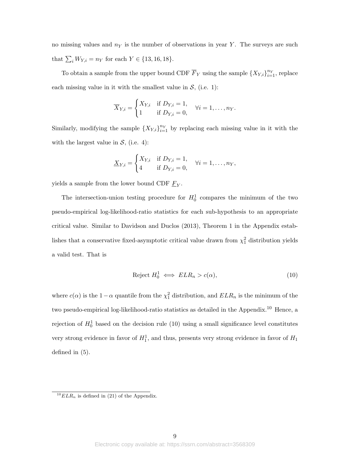no missing values and *n<sup>Y</sup>* is the number of observations in year *Y* . The surveys are such that  $\sum_{i} W_{Y,i} = n_Y$  for each  $Y \in \{13, 16, 18\}$ .

To obtain a sample from the upper bound CDF  $\overline{F}_Y$  using the sample  $\{X_{Y,i}\}_{i=1}^{n_Y}$ , replace each missing value in it with the smallest value in  $S$ , (i.e. 1):

$$
\overline{X}_{Y,i} = \begin{cases} X_{Y,i} & \text{if } D_{Y,i} = 1, \\ 1 & \text{if } D_{Y,i} = 0, \end{cases} \quad \forall i = 1, \dots, n_Y.
$$

Similarly, modifying the sample  $\{X_{Y,i}\}_{i=1}^{n_Y}$  by replacing each missing value in it with the with the largest value in  $S$ *,* (i.e. 4):

$$
\underline{X}_{Y,i} = \begin{cases} X_{Y,i} & \text{if } D_{Y,i} = 1, \\ 4 & \text{if } D_{Y,i} = 0, \end{cases} \quad \forall i = 1,\ldots,n_Y,
$$

yields a sample from the lower bound CDF  $\underline{F}_Y$ .

The intersection-union testing procedure for  $H_0^1$  compares the minimum of the two pseudo-empirical log-likelihood-ratio statistics for each sub-hypothesis to an appropriate critical value. Similar to Davidson and Duclos (2013), Theorem 1 in the Appendix establishes that a conservative fixed-asymptotic critical value drawn from  $\chi_1^2$  distribution yields a valid test. That is

$$
Reject H_0^1 \iff ELR_n > c(\alpha), \tag{10}
$$

where  $c(\alpha)$  is the 1*−* $\alpha$  quantile from the  $\chi^2$ <sup>1</sup> distribution, and  $ELR_n$  is the minimum of the two pseudo-empirical log-likelihood-ratio statistics as detailed in the Appendix.<sup>10</sup> Hence, a rejection of  $H_0^1$  based on the decision rule (10) using a small significance level constitutes very strong evidence in favor of  $H_1^1$ , and thus, presents very strong evidence in favor of  $H_1$ defined in (5).

 $10 ELR_n$  is defined in (21) of the Appendix.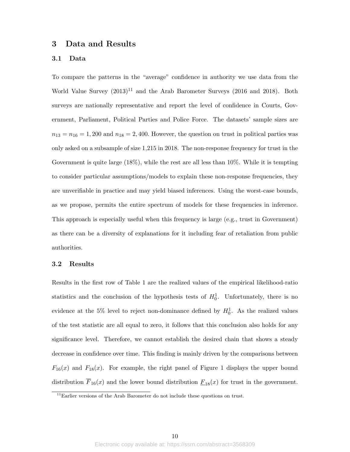## **3 Data and Results**

#### **3.1 Data**

To compare the patterns in the "average" confidence in authority we use data from the World Value Survey  $(2013)^{11}$  and the Arab Barometer Surveys (2016 and 2018). Both surveys are nationally representative and report the level of confidence in Courts, Government, Parliament, Political Parties and Police Force. The datasets' sample sizes are  $n_{13} = n_{16} = 1,200$  and  $n_{18} = 2,400$ . However, the question on trust in political parties was only asked on a subsample of size 1,215 in 2018. The non-response frequency for trust in the Government is quite large (18%), while the rest are all less than 10%. While it is tempting to consider particular assumptions/models to explain these non-response frequencies, they are unverifiable in practice and may yield biased inferences. Using the worst-case bounds, as we propose, permits the entire spectrum of models for these frequencies in inference. This approach is especially useful when this frequency is large (e.g., trust in Government) as there can be a diversity of explanations for it including fear of retaliation from public authorities.

### **3.2 Results**

Results in the first row of Table 1 are the realized values of the empirical likelihood-ratio statistics and the conclusion of the hypothesis tests of  $H_0^1$ . Unfortunately, there is no evidence at the 5% level to reject non-dominance defined by  $H_0^1$ . As the realized values of the test statistic are all equal to zero, it follows that this conclusion also holds for any significance level. Therefore, we cannot establish the desired chain that shows a steady decrease in confidence over time. This finding is mainly driven by the comparisons between  $F_{16}(x)$  and  $F_{18}(x)$ . For example, the right panel of Figure 1 displays the upper bound distribution  $\overline{F}_{16}(x)$  and the lower bound distribution  $\underline{F}_{18}(x)$  for trust in the government.

 $11$ Earlier versions of the Arab Barometer do not include these questions on trust.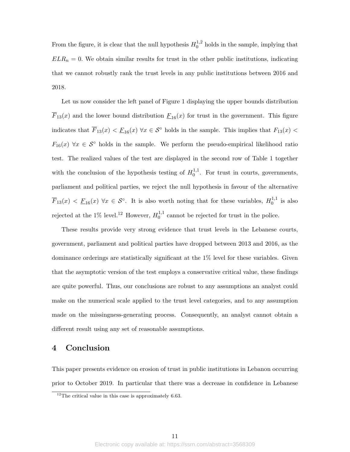From the figure, it is clear that the null hypothesis  $H_0^{1,2}$  $_0^{1,2}$  holds in the sample, implying that  $ELR_n = 0$ . We obtain similar results for trust in the other public institutions, indicating that we cannot robustly rank the trust levels in any public institutions between 2016 and 2018.

Let us now consider the left panel of Figure 1 displaying the upper bounds distribution  $\overline{F}_{13}(x)$  and the lower bound distribution  $\underline{F}_{16}(x)$  for trust in the government. This figure indicates that  $\overline{F}_{13}(x) < \underline{F}_{16}(x) \,\forall x \in \mathcal{S}^{\circ}$  holds in the sample. This implies that  $F_{13}(x) <$  $F_{16}(x)$   $\forall x \in S^{\circ}$  holds in the sample. We perform the pseudo-empirical likelihood ratio test. The realized values of the test are displayed in the second row of Table 1 together with the conclusion of the hypothesis testing of  $H_0^{1,1}$  $_{0}^{1,1}$ . For trust in courts, governments, parliament and political parties, we reject the null hypothesis in favour of the alternative  $\overline{F}_{13}(x) < \underline{F}_{16}(x) \,\forall x \in \mathcal{S}^{\circ}$ . It is also worth noting that for these variables,  $H_0^{1,1}$  $\frac{1}{0}$ <sup>1,1</sup> is also rejected at the  $1\%$  level.<sup>12</sup> However,  $H_0^{1,1}$  $_{0}^{1,1}$  cannot be rejected for trust in the police.

These results provide very strong evidence that trust levels in the Lebanese courts, government, parliament and political parties have dropped between 2013 and 2016, as the dominance orderings are statistically significant at the 1% level for these variables. Given that the asymptotic version of the test employs a conservative critical value, these findings are quite powerful. Thus, our conclusions are robust to any assumptions an analyst could make on the numerical scale applied to the trust level categories, and to any assumption made on the missingness-generating process. Consequently, an analyst cannot obtain a different result using any set of reasonable assumptions.

## **4 Conclusion**

This paper presents evidence on erosion of trust in public institutions in Lebanon occurring prior to October 2019. In particular that there was a decrease in confidence in Lebanese

 $12$ The critical value in this case is approximately 6.63.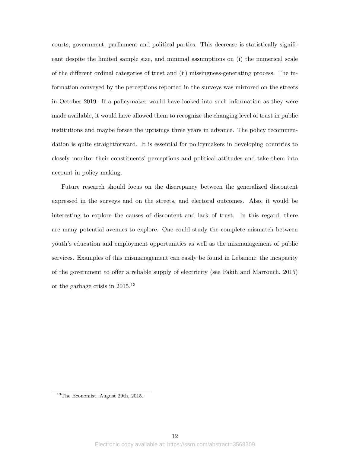courts, government, parliament and political parties. This decrease is statistically significant despite the limited sample size, and minimal assumptions on (i) the numerical scale of the different ordinal categories of trust and (ii) missingness-generating process. The information conveyed by the perceptions reported in the surveys was mirrored on the streets in October 2019. If a policymaker would have looked into such information as they were made available, it would have allowed them to recognize the changing level of trust in public institutions and maybe forsee the uprisings three years in advance. The policy recommendation is quite straightforward. It is essential for policymakers in developing countries to closely monitor their constituents' perceptions and political attitudes and take them into account in policy making.

Future research should focus on the discrepancy between the generalized discontent expressed in the surveys and on the streets, and electoral outcomes. Also, it would be interesting to explore the causes of discontent and lack of trust. In this regard, there are many potential avenues to explore. One could study the complete mismatch between youth's education and employment opportunities as well as the mismanagement of public services. Examples of this mismanagement can easily be found in Lebanon: the incapacity of the government to offer a reliable supply of electricity (see Fakih and Marrouch, 2015) or the garbage crisis in 2015.<sup>13</sup>

<sup>13</sup>The Economist, August 29th, 2015.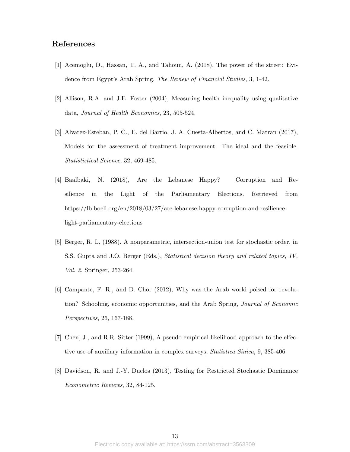## **References**

- [1] Acemoglu, D., Hassan, T. A., and Tahoun, A. (2018), The power of the street: Evidence from Egypt's Arab Spring, *The Review of Financial Studies*, 3, 1-42.
- [2] Allison, R.A. and J.E. Foster (2004), Measuring health inequality using qualitative data, *Journal of Health Economics*, 23, 505-524.
- [3] Alvarez-Esteban, P. C., E. del Barrio, J. A. Cuesta-Albertos, and C. Matran (2017), Models for the assessment of treatment improvement: The ideal and the feasible. *Statististical Science*, 32, 469-485.
- [4] Baalbaki, N. (2018), Are the Lebanese Happy? Corruption and Resilience in the Light of the Parliamentary Elections. Retrieved from https://lb.boell.org/en/2018/03/27/are-lebanese-happy-corruption-and-resiliencelight-parliamentary-elections
- [5] Berger, R. L. (1988). A nonparametric, intersection-union test for stochastic order, in S.S. Gupta and J.O. Berger (Eds.), *Statistical decision theory and related topics, IV, Vol. 2*, Springer, 253-264.
- [6] Campante, F. R., and D. Chor (2012), Why was the Arab world poised for revolution? Schooling, economic opportunities, and the Arab Spring, *Journal of Economic Perspectives*, 26, 167-188.
- [7] Chen, J., and R.R. Sitter (1999), A pseudo empirical likelihood approach to the effective use of auxiliary information in complex surveys, *Statistica Sinica*, 9, 385-406.
- [8] Davidson, R. and J.-Y. Duclos (2013), Testing for Restricted Stochastic Dominance *Econometric Reviews*, 32, 84-125.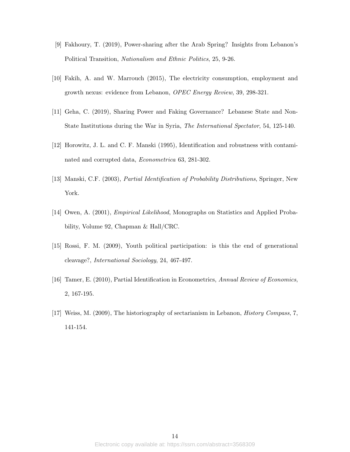- [9] Fakhoury, T. (2019), Power-sharing after the Arab Spring? Insights from Lebanon's Political Transition, *Nationalism and Ethnic Politics*, 25, 9-26.
- [10] Fakih, A. and W. Marrouch (2015), The electricity consumption, employment and growth nexus: evidence from Lebanon, *OPEC Energy Review*, 39, 298-321.
- [11] Geha, C. (2019), Sharing Power and Faking Governance? Lebanese State and Non-State Institutions during the War in Syria, *The International Spectator*, 54, 125-140.
- [12] Horowitz, J. L. and C. F. Manski (1995), Identification and robustness with contaminated and corrupted data, *Econometrica* 63, 281-302.
- [13] Manski, C.F. (2003), *Partial Identification of Probability Distributions*, Springer, New York.
- [14] Owen, A. (2001), *Empirical Likelihood*, Monographs on Statistics and Applied Probability, Volume 92, Chapman & Hall/CRC.
- [15] Rossi, F. M. (2009), Youth political participation: is this the end of generational cleavage?, *International Sociology*, 24, 467-497.
- [16] Tamer, E. (2010), Partial Identification in Econometrics, *Annual Review of Economics*, 2, 167-195.
- [17] Weiss, M. (2009), The historiography of sectarianism in Lebanon, *History Compass*, 7, 141-154.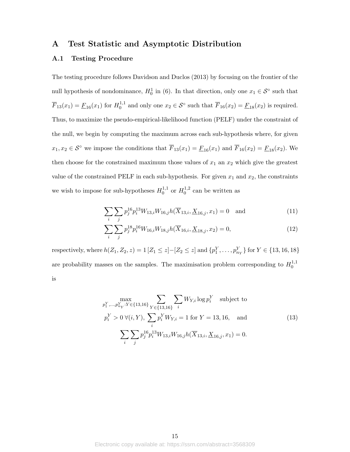## **A Test Statistic and Asymptotic Distribution**

### **A.1 Testing Procedure**

The testing procedure follows Davidson and Duclos (2013) by focusing on the frontier of the null hypothesis of nondominance,  $H_0^1$  in (6). In that direction, only one  $x_1 \in S^\circ$  such that  $\overline{F}_{13}(x_1) = \underline{F}_{16}(x_1)$  for  $H_0^{1,1}$  $\overline{V}_0^{1,1}$  and only one  $x_2 \in S^\circ$  such that  $\overline{F}_{16}(x_2) = \underline{F}_{18}(x_2)$  is required. Thus, to maximize the pseudo-empirical-likelihood function (PELF) under the constraint of the null, we begin by computing the maximum across each sub-hypothesis where, for given *x*<sub>1</sub>*, x*<sub>2</sub> ∈  $S^{\circ}$  we impose the conditions that  $\overline{F}_{13}(x_1) = \underline{F}_{16}(x_1)$  and  $\overline{F}_{16}(x_2) = \underline{F}_{18}(x_2)$ *.* We then choose for the constrained maximum those values of  $x_1$  an  $x_2$  which give the greatest value of the constrained PELF in each sub-hypothesis. For given  $x_1$  and  $x_2$ , the constraints we wish to impose for sub-hypotheses  $H_0^{1,1}$  $_{0}^{1,1}$  or  $H_0^{1,2}$  $_0^{1,2}$  can be written as

$$
\sum_{i} \sum_{j} p_j^{16} p_i^{13} W_{13,i} W_{16,j} h(\overline{X}_{13,i}, \underline{X}_{16,j}, x_1) = 0 \text{ and } (11)
$$

$$
\sum_{i} \sum_{j} p_j^{18} p_i^{16} W_{16,i} W_{18,j} h(\overline{X}_{16,i}, \underline{X}_{18,j}, x_2) = 0,
$$
\n(12)

respectively, where  $h(Z_1, Z_2, z) = 1 [Z_1 \leq z] - [Z_2 \leq z]$  and  $\{p_1^Y, \ldots, p_{n_Y}^Y\}$  for  $Y \in \{13, 16, 18\}$ are probability masses on the samples. The maximisation problem corresponding to  $H_0^{1,1}$  $\boldsymbol{0}$ is

$$
\max_{p_1^Y, \dots, p_{n_Y}^Y : Y \in \{13, 16\}} \sum_{Y \in \{13, 16\}} \sum_i W_{Y,i} \log p_i^Y \quad \text{subject to}
$$
\n
$$
p_i^Y > 0 \,\forall (i, Y), \, \sum_i p_i^Y W_{Y,i} = 1 \text{ for } Y = 13, 16, \quad \text{and}
$$
\n
$$
\sum_i \sum_j p_j^{16} p_i^{13} W_{13,i} W_{16,j} h(\overline{X}_{13,i}, \underline{X}_{16,j}, x_1) = 0.
$$
\n
$$
(13)
$$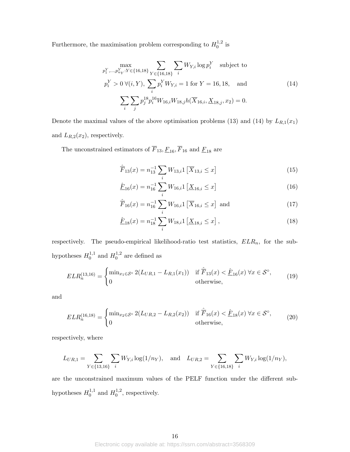Furthermore, the maximisation problem corresponding to  $H_0^{1,2}$  $\int_{0}^{1,2}$  is

$$
\max_{p_1^Y, \dots, p_{n_Y}^Y : Y \in \{16, 18\}} \sum_{Y \in \{16, 18\}} \sum_i W_{Y,i} \log p_i^Y \quad \text{subject to}
$$
\n
$$
p_i^Y > 0 \,\forall (i, Y), \, \sum_i p_i^Y W_{Y,i} = 1 \text{ for } Y = 16, 18, \quad \text{and}
$$
\n
$$
\sum_i \sum_j p_j^{18} p_i^{16} W_{16,i} W_{18,j} h(\overline{X}_{16,i}, \underline{X}_{18,j}, x_2) = 0.
$$
\n
$$
(14)
$$

Denote the maximal values of the above optimisation problems (13) and (14) by  $L_{R,1}(x_1)$ and  $L_{R,2}(x_2)$ , respectively.

The unconstrained estimators of  $\overline{F}_{13}, \underline{F}_{16}, \overline{F}_{16}$  and  $\underline{F}_{18}$  are

$$
\hat{\overline{F}}_{13}(x) = n_{13}^{-1} \sum_{i} W_{13,i} \mathbb{1} \left[ \overline{X}_{13,i} \le x \right] \tag{15}
$$

$$
\hat{\underline{F}}_{16}(x) = n_{16}^{-1} \sum_{i} W_{16,i} 1 \left[ \underline{X}_{16,i} \le x \right]
$$
\n(16)

$$
\hat{\overline{F}}_{16}(x) = n_{16}^{-1} \sum_{i} W_{16,i} 1 \left[ \overline{X}_{16,i} \le x \right] \text{ and } \tag{17}
$$

$$
\underline{\hat{F}}_{18}(x) = n_{18}^{-1} \sum_{i} W_{18,i} 1 \left[ \underline{X}_{18,i} \le x \right], \tag{18}
$$

respectively. The pseudo-empirical likelihood-ratio test statistics, *ELRn*, for the subhypotheses  $H_0^{1,1}$  $_{0}^{1,1}$  and  $H_0^{1,2}$  $_0^{1,2}$  are defined as

$$
ELR_n^{(13,16)} = \begin{cases} \min_{x_1 \in \mathcal{S}^\circ} 2(L_{UR,1} - L_{R,1}(x_1)) & \text{if } \hat{F}_{13}(x) < \hat{E}_{16}(x) \,\forall x \in \mathcal{S}^\circ, \\ 0 & \text{otherwise,} \end{cases}
$$
(19)

and

$$
ELR_n^{(16,18)} = \begin{cases} \min_{x_2 \in S^\circ} 2(L_{UR,2} - L_{R,2}(x_2)) & \text{if } \hat{F}_{16}(x) < \hat{E}_{18}(x) \,\forall x \in S^\circ, \\ 0 & \text{otherwise,} \end{cases} \tag{20}
$$

respectively, where

$$
L_{UR,1} = \sum_{Y \in \{13,16\}} \sum_{i} W_{Y,i} \log(1/n_Y), \text{ and } L_{UR,2} = \sum_{Y \in \{16,18\}} \sum_{i} W_{Y,i} \log(1/n_Y),
$$

are the unconstrained maximum values of the PELF function under the different subhypotheses  $H_0^{1,1}$  $h_0^{1,1}$  and  $H_0^{1,2}$  $_0^{1,2}$ , respectively.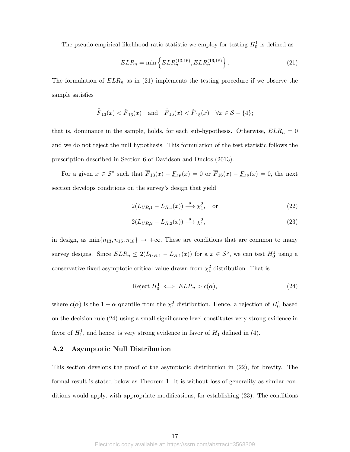The pseudo-empirical likelihood-ratio statistic we employ for testing  $H_0^1$  is defined as

$$
ELR_n = \min\left\{ELR_n^{(13,16)}, ELR_n^{(16,18)}\right\}.
$$
\n(21)

The formulation of  $ELR_n$  as in  $(21)$  implements the testing procedure if we observe the sample satisfies

$$
\hat{\overline{F}}_{13}(x) < \hat{\underline{F}}_{16}(x) \quad \text{and} \quad \hat{\overline{F}}_{16}(x) < \hat{\underline{F}}_{18}(x) \quad \forall x \in \mathcal{S} - \{4\};
$$

that is, dominance in the sample, holds, for each sub-hypothesis. Otherwise,  $ELR_n = 0$ and we do not reject the null hypothesis. This formulation of the test statistic follows the prescription described in Section 6 of Davidson and Duclos (2013).

For a given  $x \in S^{\circ}$  such that  $\overline{F}_{13}(x) - \underline{F}_{16}(x) = 0$  or  $\overline{F}_{16}(x) - \underline{F}_{18}(x) = 0$ , the next section develops conditions on the survey's design that yield

$$
2(L_{UR,1} - L_{R,1}(x)) \xrightarrow{d} \chi_1^2, \quad \text{or} \tag{22}
$$

$$
2(L_{UR,2} - L_{R,2}(x)) \xrightarrow{d} \chi_1^2,\tag{23}
$$

in design, as  $\min\{n_{13}, n_{16}, n_{18}\} \rightarrow +\infty$ . These are conditions that are common to many survey designs. Since  $ELR_n \leq 2(L_{UR,1} - L_{R,1}(x))$  for a  $x \in S^\circ$ , we can test  $H_0^1$  using a conservative fixed-asymptotic critical value drawn from  $\chi_1^2$  distribution. That is

$$
Reject H_0^1 \iff ELR_n > c(\alpha), \tag{24}
$$

where  $c(\alpha)$  is the 1 *−*  $\alpha$  quantile from the  $\chi_1^2$  distribution. Hence, a rejection of  $H_0^1$  based on the decision rule (24) using a small significance level constitutes very strong evidence in favor of  $H_1^1$ , and hence, is very strong evidence in favor of  $H_1$  defined in (4).

### **A.2 Asymptotic Null Distribution**

This section develops the proof of the asymptotic distribution in (22), for brevity. The formal result is stated below as Theorem 1. It is without loss of generality as similar conditions would apply, with appropriate modifications, for establishing (23). The conditions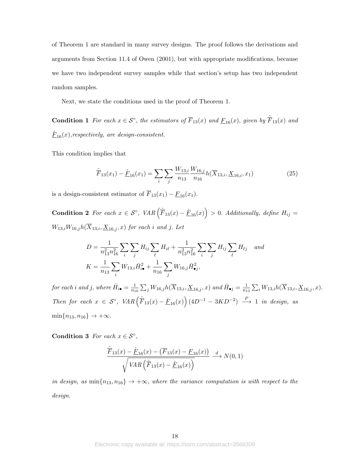of Theorem 1 are standard in many survey designs. The proof follows the derivations and arguments from Section 11.4 of Owen (2001), but with appropriate modifications, because we have two independent survey samples while that section's setup has two independent random samples.

Next, we state the conditions used in the proof of Theorem 1.

**Condition 1** For each  $x \in S^\circ$ , the estimators of  $\overline{F}_{13}(x)$  and  $\underline{F}_{16}(x)$ *, given by*  $\hat{F}_{13}(x)$  and  $\underline{\hat{F}}_{16}(x),$ respectively, are design-consistent.

This condition implies that

$$
\hat{\overline{F}}_{13}(x_1) - \hat{\underline{F}}_{16}(x_1) = \sum_{i} \sum_{j} \frac{W_{13,i}}{n_{13}} \frac{W_{16,j}}{n_{16}} h(\overline{X}_{13,i}, \underline{X}_{16,i}, x_1)
$$
(25)

is a design-consistent estimator of  $\overline{F}_{13}(x_1) - \underline{F}_{16}(x_1)$ .

**Condition 2** For each  $x \in S^\circ$ ,  $VAR\left(\hat{F}_{13}(x) - \hat{F}_{16}(x)\right) > 0$ . *Additionally, define*  $H_{ij} =$  $W_{13,i}W_{16,j}h(\overline{X}_{13,i}, \underline{X}_{16,j}, x)$  *for each i and j. Let* 

$$
D = \frac{1}{n_{13}^2 n_{16}^2} \sum_i \sum_j H_{ij} \sum_\ell H_{i\ell} + \frac{1}{n_{13}^2 n_{16}^2} \sum_j \sum_j H_{ij} \sum_\ell H_{\ell j} \quad and
$$
  

$$
K = \frac{1}{n_{13}} \sum_i W_{13,i} \bar{H}_{i\bullet}^2 + \frac{1}{n_{16}} \sum_j W_{16,j} \bar{H}_{\bullet j}^2,
$$

*for each i* and *j*, where  $\bar{H}_{i\bullet} = \frac{1}{n_i}$  $\frac{1}{n_{16}}\sum_{j}W_{16,j}h(\overline{X}_{13,i},\underline{X}_{16,j},x)$  *and*  $\bar{H}_{\bullet j}=\frac{1}{n_{16}}$  $\frac{1}{n_{13}}\sum_i W_{13,i}h(X_{13,i}, \underline{X}_{16,j}, x)$ . *Then for each*  $x \in S^{\circ}$ ,  $VAR\left(\hat{F}_{13}(x) - \hat{F}_{16}(x)\right) (4D^{-1} - 3KD^{-2}) \stackrel{P}{\longrightarrow} 1$  *in design, as*  $\min\{n_{13}, n_{16}\} \to +\infty$ .

**Condition 3** *For each*  $x \in \mathcal{S}^{\circ}$ ,

$$
\frac{\hat{F}_{13}(x) - \hat{E}_{16}(x) - (\overline{F}_{13}(x) - E_{16}(x))}{\sqrt{VAR\left(\hat{F}_{13}(x) - \hat{E}_{16}(x)\right)}} \xrightarrow{d} N(0, 1)
$$

*in design, as*  $min\{n_{13}, n_{16}\} \rightarrow +\infty$ *, where the variance computation is with respect to the design.*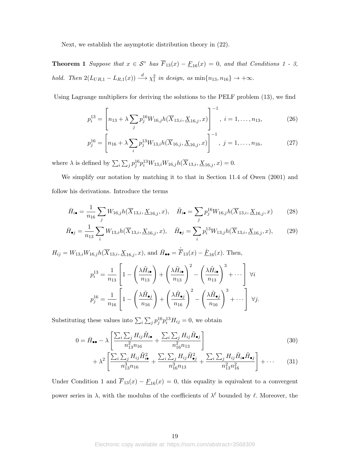Next, we establish the asymptotic distribution theory in (22).

**Theorem 1** *Suppose that*  $x \in S^\circ$  *has*  $\overline{F}_{13}(x) - \underline{F}_{16}(x) = 0$ *, and that Conditions 1 - 3, hold.* Then  $2(L_{UR,1} - L_{R,1}(x)) \xrightarrow{d} \chi_1^2$  in design, as  $\min\{n_{13}, n_{16}\} \to +\infty$ .

Using Lagrange multipliers for deriving the solutions to the PELF problem (13), we find

$$
p_i^{13} = \left[ n_{13} + \lambda \sum_j p_j^{16} W_{16,j} h(\overline{X}_{13,i}, \underline{X}_{16,j}, x) \right]^{-1}, \ i = 1, \dots, n_{13}, \tag{26}
$$

$$
p_j^{16} = \left[ n_{16} + \lambda \sum_i p_j^{13} W_{13,i} h(\overline{X}_{16,j}, \underline{X}_{16,j}, x) \right]^{-1}, \ j = 1, \dots, n_{16}, \tag{27}
$$

where  $\lambda$  is defined by  $\sum_{i} \sum_{j} p_{j}^{16} p_{i}^{13} W_{13,i} W_{16,j} h(\overline{X}_{13,i}, \underline{X}_{16,j}, x) = 0.$ 

We simplify our notation by matching it to that in Section 11.4 of Owen (2001) and follow his derivations. Introduce the terms

$$
\bar{H}_{i\bullet} = \frac{1}{n_{16}} \sum_{j} W_{16,j} h(\overline{X}_{13,i}, \underline{X}_{16,j}, x), \quad \tilde{H}_{i\bullet} = \sum_{j} p_j^{16} W_{16,j} h(\overline{X}_{13,i}, \underline{X}_{16,j}, x) \tag{28}
$$

$$
\bar{H}_{\bullet j} = \frac{1}{n_{13}} \sum_{i} W_{13,i} h(\overline{X}_{13,i}, \underline{X}_{16,j}, x), \quad \tilde{H}_{\bullet j} = \sum_{i} p_i^{13} W_{13,j} h(\overline{X}_{13,i}, \underline{X}_{16,j}, x), \tag{29}
$$

 $H_{ij} = W_{13,i}W_{16,j}h(\overline{X}_{13,i}, \underline{X}_{16,j}, x)$ , and  $\overline{H}_{\bullet \bullet} = \hat{\overline{F}}_{13}(x) - \hat{\underline{F}}_{16}(x)$ . Then,

$$
p_i^{13} = \frac{1}{n_{13}} \left[ 1 - \left( \frac{\lambda \tilde{H}_{i\bullet}}{n_{13}} \right) + \left( \frac{\lambda \tilde{H}_{i\bullet}}{n_{13}} \right)^2 - \left( \frac{\lambda \tilde{H}_{i\bullet}}{n_{13}} \right)^3 + \cdots \right] \ \forall i
$$
  

$$
p_j^{16} = \frac{1}{n_{16}} \left[ 1 - \left( \frac{\lambda \tilde{H}_{\bullet j}}{n_{16}} \right) + \left( \frac{\lambda \tilde{H}_{\bullet j}}{n_{16}} \right)^2 - \left( \frac{\lambda \tilde{H}_{\bullet j}}{n_{16}} \right)^3 + \cdots \right] \ \forall j.
$$

Substituting these values into  $\sum_i \sum_j p_j^{16} p_i^{13} H_{ij} = 0$ , we obtain

$$
0 = \bar{H}_{\bullet \bullet} - \lambda \left[ \frac{\sum_{i} \sum_{j} H_{ij} \tilde{H}_{i \bullet}}{n_{13}^2 n_{16}} + \frac{\sum_{i} \sum_{j} H_{ij} \tilde{H}_{\bullet j}}{n_{16}^2 n_{13}} \right]
$$
(30)

$$
+\lambda^2 \left[ \frac{\sum_i \sum_j H_{ij} \tilde{H}_{i\bullet}^2}{n_{13}^3 n_{16}} + \frac{\sum_i \sum_j H_{ij} \tilde{H}_{\bullet j}^2}{n_{16}^3 n_{13}} + \frac{\sum_i \sum_j H_{ij} \tilde{H}_{i\bullet} \tilde{H}_{\bullet j}}{n_{13}^2 n_{16}^2} \right] + \cdots \tag{31}
$$

Under Condition 1 and  $\overline{F}_{13}(x) - \underline{F}_{16}(x) = 0$ , this equality is equivalent to a convergent power series in  $\lambda$ , with the modulus of the coefficients of  $\lambda^{\ell}$  bounded by  $\ell$ . Moreover, the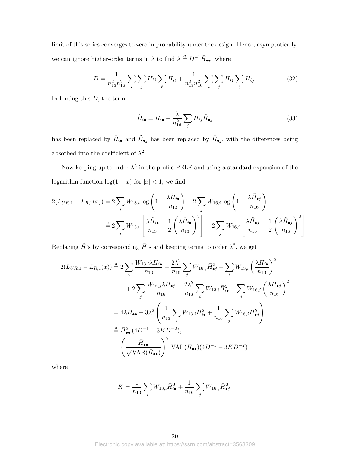limit of this series converges to zero in probability under the design. Hence, asymptotically, we can ignore higher-order terms in  $\lambda$  to find  $\lambda \stackrel{a}{=} D^{-1} \overline{H}_{\bullet \bullet}$ , where

$$
D = \frac{1}{n_{13}^2 n_{16}^2} \sum_i \sum_j H_{ij} \sum_{\ell} H_{i\ell} + \frac{1}{n_{13}^2 n_{16}^2} \sum_i \sum_j H_{ij} \sum_{\ell} H_{\ell j}.
$$
 (32)

In finding this *D,* the term

$$
\tilde{H}_{i\bullet} = \bar{H}_{i\bullet} - \frac{\lambda}{n_{16}^2} \sum_j H_{ij} \tilde{H}_{\bullet j}
$$
\n(33)

has been replaced by  $\bar{H}_{i\bullet}$  and  $\tilde{H}_{\bullet j}$  has been replaced by  $\bar{H}_{\bullet j}$ , with the differences being absorbed into the coefficient of  $\lambda^2$ .

Now keeping up to order  $\lambda^2$  in the profile PELF and using a standard expansion of the logarithm function  $\log(1 + x)$  for  $|x| < 1$ , we find

$$
2(L_{UR,1} - L_{R,1}(x)) = 2\sum_{i} W_{13,i} \log\left(1 + \frac{\lambda \tilde{H}_{i\bullet}}{n_{13}}\right) + 2\sum_{j} W_{16,i} \log\left(1 + \frac{\lambda \tilde{H}_{\bullet j}}{n_{16}}\right)
$$

$$
\stackrel{a}{=} 2\sum_{i} W_{13,i} \left[\frac{\lambda \tilde{H}_{i\bullet}}{n_{13}} - \frac{1}{2} \left(\frac{\lambda \tilde{H}_{i\bullet}}{n_{13}}\right)^2\right] + 2\sum_{j} W_{16,i} \left[\frac{\lambda \tilde{H}_{\bullet j}}{n_{16}} - \frac{1}{2} \left(\frac{\lambda \tilde{H}_{\bullet j}}{n_{16}}\right)^2\right].
$$

Replacing  $\tilde{H}$ 's by corresponding  $\tilde{H}$ 's and keeping terms to order  $\lambda^2$ , we get

$$
2(L_{UR,1} - L_{R,1}(x)) \stackrel{a}{=} 2 \sum_{i} \frac{W_{13,i} \lambda \bar{H}_{i\bullet}}{n_{13}} - \frac{2\lambda^2}{n_{16}} \sum_{j} W_{16,j} \bar{H}_{\bullet j}^2 - \sum_{i} W_{13,i} \left(\frac{\lambda \bar{H}_{i\bullet}}{n_{13}}\right)^2
$$
  
+ 
$$
2 \sum_{j} \frac{W_{16,j} \lambda \bar{H}_{\bullet j}}{n_{16}} - \frac{2\lambda^2}{n_{13}} \sum_{i} W_{13,i} \bar{H}_{i\bullet}^2 - \sum_{j} W_{16,j} \left(\frac{\lambda \bar{H}_{\bullet j}}{n_{16}}\right)^2
$$
  
= 
$$
4\lambda \bar{H}_{\bullet \bullet} - 3\lambda^2 \left(\frac{1}{n_{13}} \sum_{i} W_{13,i} \bar{H}_{i\bullet}^2 + \frac{1}{n_{16}} \sum_{j} W_{16,j} \bar{H}_{\bullet j}^2\right)
$$
  

$$
\stackrel{a}{=} \bar{H}_{\bullet \bullet}^2 (4D^{-1} - 3KD^{-2}),
$$
  

$$
= \left(\frac{\bar{H}_{\bullet \bullet}}{\sqrt{\text{VAR}(\bar{H}_{\bullet \bullet})}}\right)^2 \text{VAR}(\bar{H}_{\bullet \bullet})(4D^{-1} - 3KD^{-2})
$$

where

$$
K = \frac{1}{n_{13}} \sum_{i} W_{13,i} \bar{H}_{i\bullet}^2 + \frac{1}{n_{16}} \sum_{j} W_{16,j} \bar{H}_{\bullet j}^2.
$$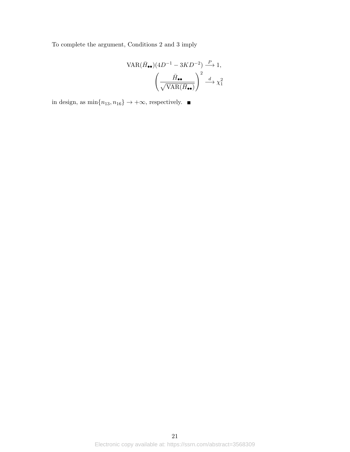To complete the argument, Conditions 2 and 3 imply

$$
VAR(\bar{H}_{\bullet\bullet})(4D^{-1} - 3KD^{-2}) \xrightarrow{P} 1,
$$

$$
\left(\frac{\bar{H}_{\bullet\bullet}}{\sqrt{VAR(\bar{H}_{\bullet\bullet})}}\right)^2 \xrightarrow{d} \chi_1^2
$$

in design, as  $\min\{n_{13},n_{16}\}\rightarrow+\infty,$  respectively.  $\blacksquare$